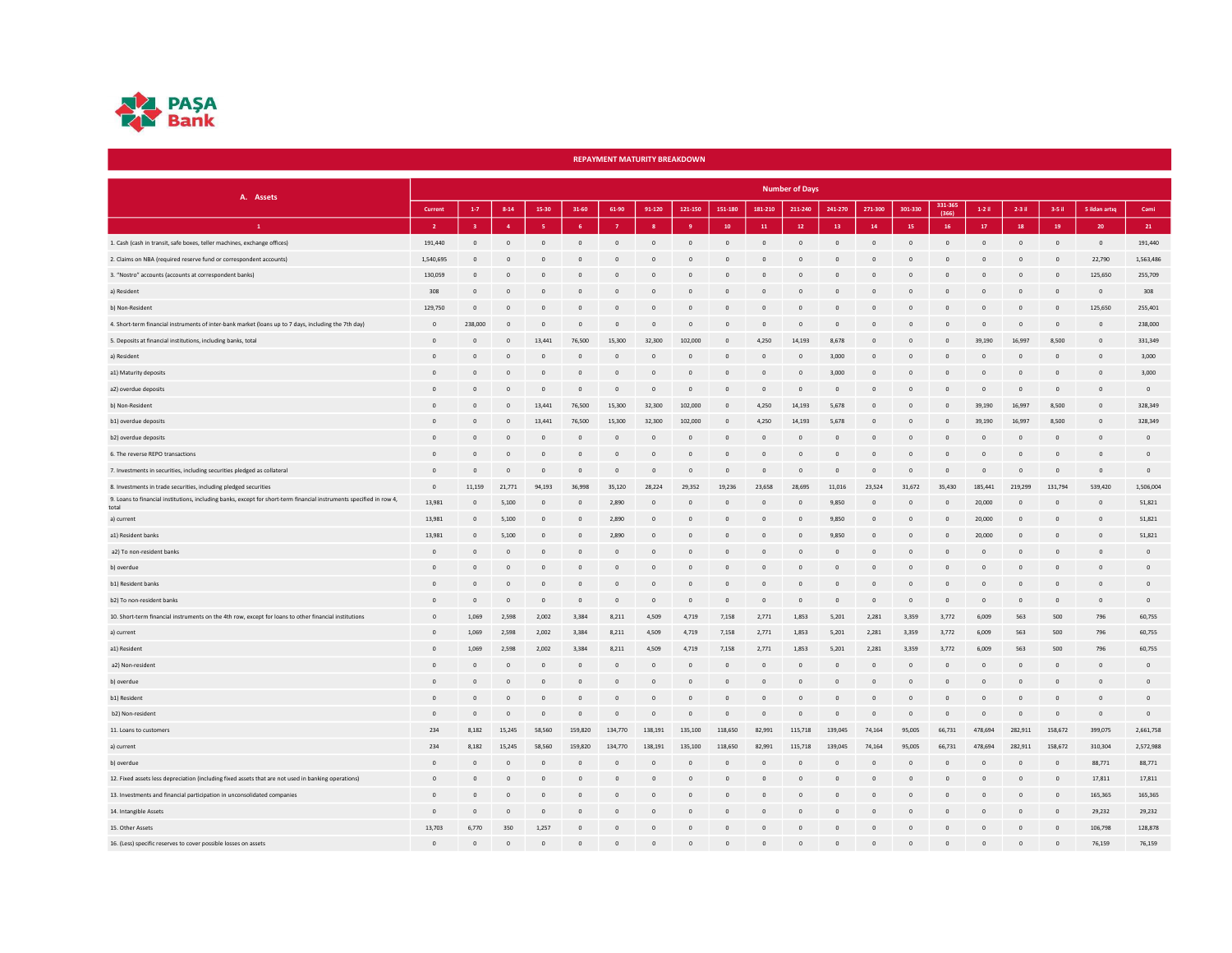

|                                                                                                                               |                |                         |                |                |              |              | <b>REPAYMENT MATURITY BREAKDOWN</b> |              |                         |                |                       |                |          |                |                 |                |                |                |               |                |
|-------------------------------------------------------------------------------------------------------------------------------|----------------|-------------------------|----------------|----------------|--------------|--------------|-------------------------------------|--------------|-------------------------|----------------|-----------------------|----------------|----------|----------------|-----------------|----------------|----------------|----------------|---------------|----------------|
| A. Assets                                                                                                                     |                |                         |                |                |              |              |                                     |              |                         |                | <b>Number of Days</b> |                |          |                |                 |                |                |                |               |                |
|                                                                                                                               | Current        | $1 - 7$                 | $8 - 14$       | 15-30          | 31-60        | 61-90        | 91-120                              | 121-150      | 151-180                 | 181-210        | 211-240               | 241-270        | 271-300  | 301-330        | 331-36<br>(366) | $1-2$ il       | 2-3 il         | 3-5 il         | 5 ildən artıq | Cami           |
| $\mathbf{1}^-$                                                                                                                | $\overline{2}$ | $\overline{\mathbf{3}}$ | $\overline{a}$ |                | 6            |              | $\mathbf{R}$                        | q            | 10                      | ${\bf 11}$     | $12\,$                | 13             | 14       | 15             | 16              | $17\,$         | 18             | 19             | 20            | 21             |
| 1. Cash (cash in transit, safe boxes, teller machines, exchange offices)                                                      | 191,440        | $\mathsf 0$             | $\overline{0}$ | $\overline{0}$ | $\,0\,$      | $\mathbb O$  | $\circ$                             | $\mathbb O$  | $\mathbf 0$             | $\circ$        | $\mathbb O$           | $\circ$        | $\circ$  | $\,$ 0         | $\mathbb O$     | $^{\circ}$     | $\,$ 0         | $\mathbb O$    | $\circ$       | 191.440        |
| 2. Claims on NBA (required reserve fund or correspondent accounts)                                                            | 1.540.695      | $\Omega$                |                | $\Omega$       | $\Omega$     | $\Omega$     | $\Omega$                            | $\Omega$     | $\overline{0}$          | $\Omega$       | $\Omega$              | $\circ$        | $\Omega$ | $\Omega$       | $\Omega$        | $\Omega$       | $\Omega$       | $\Omega$       | 22,790        | 1,563,486      |
| 3. "Nostro" accounts (accounts at correspondent banks)                                                                        | 130.059        | $\Omega$                |                | $\Omega$       | $\Omega$     | $\Omega$     | $\Omega$                            | $\Omega$     | $\Omega$                | $\Omega$       | $\Omega$              | $\circ$        | $\Omega$ | $\Omega$       | $\Omega$        | $\Omega$       | $\Omega$       | $\Omega$       | 125.650       | 255,709        |
| a) Resident                                                                                                                   | 308            | $\Omega$                |                | $\overline{0}$ | $\Omega$     | $\circ$      | $\Omega$                            | $\Omega$     | $\overline{0}$          | $\Omega$       | $\Omega$              | $\circ$        | $\Omega$ | $\mathbf{0}$   | $\mathbf{0}$    | $\Omega$       | $\Omega$       | $\circ$        | $\circ$       | 308            |
| b) Non-Resident                                                                                                               | 129,750        | $\circ$                 |                | $\overline{0}$ | $\mathbf{0}$ | $\mathbf{0}$ | $\Omega$                            | $\mathbf{0}$ | $\overline{0}$          | $\Omega$       | $\Omega$              | $\mathbf{0}$   | $\Omega$ | $\mathbf{0}$   | $\mathbf{0}$    | $\Omega$       | $\mathbf{0}$   | $\overline{0}$ | 125,650       | 255,401        |
| 4. Short-term financial instruments of inter-bank market (loans up to 7 days, including the 7th day)                          | $\overline{0}$ | 238,000                 | $\Omega$       | $\overline{0}$ | $\mathbf{0}$ | $\mathbf{0}$ | $\overline{0}$                      | $\mathbf{0}$ | $\overline{0}$          | $\circ$        | $\mathbf{0}$          | $\circ$        | $\Omega$ | $\mathbf 0$    | $\circ$         | $\mathbf{0}$   | $\mathbf{0}$   | $\mathbf{0}$   | $\circ$       | 238,000        |
| 5. Deposits at financial institutions, including banks, total                                                                 | $\overline{0}$ | $\mathbf{0}$            | $\Omega$       | 13,441         | 76,500       | 15,300       | 32.300                              | 102,000      | $\overline{0}$          | 4.250          | 14.193                | 8,678          | $\circ$  | $\mathbf{0}$   | $\mathbf{0}$    | 39,190         | 16.997         | 8.500          | $^{\circ}$    | 331,349        |
| a) Resident                                                                                                                   | $\Omega$       | $\Omega$                | $\Omega$       | $\Omega$       | $\Omega$     | $\Omega$     | $\Omega$                            | $\Omega$     | $\Omega$                | $\Omega$       | $\Omega$              | 3,000          | $\Omega$ | $\Omega$       | $\Omega$        | $\Omega$       | $\Omega$       | $\circ$        | $\Omega$      | 3,000          |
| a1) Maturity deposits                                                                                                         | $\Omega$       | $\Omega$                | $\Omega$       | $\overline{0}$ | $\Omega$     | $\circ$      | $\Omega$                            | $\Omega$     | $\overline{0}$          | $\Omega$       | $\Omega$              | 3.000          | $\Omega$ | $\mathbf{0}$   | $\Omega$        | $\Omega$       | $\mathbf{0}$   | $\circ$        | $^{\circ}$    | 3,000          |
| a2) overdue deposits                                                                                                          | $\Omega$       | $\Omega$                | $\Omega$       | $\overline{0}$ | $\circ$      | $\circ$      | $\overline{0}$                      | $\Omega$     | $\overline{0}$          | $\Omega$       | $\Omega$              | $\circ$        | $\Omega$ | $\mathbf{0}$   | $\mathbf{0}$    | $\Omega$       | $\mathbf{0}$   | $\mathbf{0}$   | $^{\circ}$    | $\overline{0}$ |
| b) Non-Resident                                                                                                               | $\Omega$       | $\Omega$                | $\Omega$       | 13,441         | 76,500       | 15,300       | 32.300                              | 102,000      | $\Omega$                | 4.250          | 14.193                | 5.678          | $\Omega$ | $\mathbf{0}$   | $\mathbf{0}$    | 39.190         | 16.997         | 8.500          | $^{\circ}$    | 328,349        |
| b1) overdue deposits                                                                                                          | $\overline{0}$ | $\mathbf{0}$            | $\Omega$       | 13,441         | 76,500       | 15,300       | 32.300                              | 102,000      | $\overline{0}$          | 4,250          | 14.193                | 5.678          | $\circ$  | $\circ$        | $\mathbf{0}$    | 39.190         | 16,997         | 8,500          | $^{\circ}$    | 328,349        |
| b2) overdue deposits                                                                                                          | $\overline{0}$ | $\mathbf{0}$            | $\circ$        | $\overline{0}$ | $\circ$      | $\mathbf{0}$ | $\overline{0}$                      | $\mathbf{0}$ | $\overline{0}$          | $\overline{0}$ | $\mathbf{0}$          | $\circ$        | $\circ$  | $\mathbf{0}$   | $\mathbf{0}$    | $\overline{0}$ | $\mathbf{0}$   | $\overline{0}$ | $^{\circ}$    | $\overline{0}$ |
| 6. The reverse REPO transactions                                                                                              | $\Omega$       | $\Omega$                |                | $\Omega$       | $\Omega$     | $\Omega$     | $\Omega$                            | $\Omega$     | $\overline{0}$          | $\Omega$       | $\Omega$              | $\overline{0}$ | $\Omega$ | $\Omega$       | $\Omega$        | $\Omega$       | $\Omega$       | $\Omega$       | $\Omega$      | $\Omega$       |
| 7. Investments in securities, including securities pledged as collateral                                                      | $\Omega$       | $\Omega$                | $\Omega$       | $\Omega$       | $\Omega$     | $\circ$      | $\Omega$                            | $\Omega$     | $\overline{0}$          | $\Omega$       | $\Omega$              | $\Omega$       | $\Omega$ | $\overline{0}$ | $\circ$         | $\Omega$       | $\Omega$       | $\mathbf{0}$   | $\Omega$      | $\Omega$       |
| 8. Investments in trade securities, including pledged securities                                                              | $\Omega$       | 11.159                  | 21,771         | 94.193         | 36,998       | 35.120       | 28.224                              | 29,352       | 19.236                  | 23,658         | 28.695                | 11.016         | 23.524   | 31.672         | 35,430          | 185,441        | 219,299        | 131.794        | 539.420       | 1,506,004      |
| 9. Loans to financial institutions, including banks, except for short-term financial instruments specified in row 4,<br>total | 13.981         | $\Omega$                | 5.100          | $\overline{0}$ | $\circ$      | 2,890        | $\overline{0}$                      | $\mathbf{0}$ | $\overline{0}$          | $\Omega$       | $\Omega$              | 9.850          | $\Omega$ | $\overline{0}$ | $\mathbf{0}$    | 20,000         | $\circ$        | $\overline{0}$ | $^{\circ}$    | 51,821         |
| a) current                                                                                                                    | 13.981         | $\mathbf{0}$            | 5.100          | $\mathbf{0}$   | $\circ$      | 2,890        | $\overline{0}$                      | $\mathbf{0}$ | $\overline{0}$          | $^{\circ}$     | $\circ$               | 9,850          | $\circ$  | $\overline{0}$ | $\mathbf{0}$    | 20,000         | $\mathbf{0}$   | $\overline{0}$ | $^{\circ}$    | 51,821         |
| a1) Resident banks                                                                                                            | 13.981         | $\mathbf{0}$            | 5.100          | $\overline{0}$ | $\circ$      | 2,890        | $\overline{0}$                      | $\circ$      | $\overline{0}$          | $^{\circ}$     | $\mathbf{0}$          | 9.850          | $\circ$  | $\overline{0}$ | $\mathbf{0}$    | 20,000         | $\circ$        | $\overline{0}$ | $^{\circ}$    | 51,821         |
| a2) To non-resident banks                                                                                                     | $\Omega$       | $\Omega$                | $\Omega$       | $\Omega$       | $\Omega$     | $\mathbf{0}$ | $\Omega$                            | $\Omega$     | $\Omega$                | $\Omega$       | $\Omega$              | $\circ$        | $\Omega$ | $\Omega$       | $\Omega$        | $\Omega$       | $\Omega$       | $\mathbf{0}$   | $\Omega$      | $\Omega$       |
| b) overdue                                                                                                                    | $\Omega$       | $\Omega$                | $\Omega$       | $\Omega$       | $\Omega$     | $\Omega$     | $\Omega$                            | $\Omega$     | $\Omega$                | $\Omega$       | $\Omega$              | $\circ$        | $\Omega$ | $\circ$        | $\Omega$        | $\Omega$       | $\Omega$       | $\Omega$       | $\Omega$      | $\circ$        |
| b1) Resident banks                                                                                                            | $\Omega$       | $\Omega$                | $\Omega$       | $\Omega$       | $\Omega$     | $\Omega$     | $\Omega$                            | $\Omega$     | $\mathbf 0$             | $\Omega$       | $\Omega$              | $\circ$        | $\Omega$ | $\Omega$       | $\Omega$        | $\Omega$       | $\Omega$       | $\Omega$       | $\Omega$      | $\Omega$       |
| b2) To non-resident banks                                                                                                     | $\Omega$       | $\mathbf{0}$            | $\Omega$       | $\Omega$       | $\circ$      | $\circ$      | $\overline{0}$                      | $\circ$      | $\circ$                 | $\Omega$       | $\mathbf{0}$          | $\circ$        | $\Omega$ | $\overline{0}$ | $\mathbf{0}$    | $\Omega$       | $\circ$        | $\mathbf 0$    | $^{\circ}$    | $\circ$        |
| 10. Short-term financial instruments on the 4th row, except for loans to other financial institutions                         | $\overline{0}$ | 1,069                   | 2,598          | 2,002          | 3,384        | 8,211        | 4,509                               | 4,719        | 7,158                   | 2,771          | 1,853                 | 5,201          | 2,281    | 3,359          | 3,772           | 6,009          | 563            | 500            | 796           | 60,755         |
| a) current                                                                                                                    | $\mathbf{0}$   | 1.069                   | 2.598          | 2,002          | 3.384        | 8,211        | 4.509                               | 4.719        | 7,158                   | 2,771          | 1.853                 | 5.201          | 2.281    | 3.359          | 3,772           | 6.009          | 563            | 500            | 796           | 60,755         |
| a1) Resident                                                                                                                  | $\overline{0}$ | 1.069                   | 2,598          | 2,002          | 3,384        | 8,211        | 4,509                               | 4,719        | 7,158                   | 2,771          | 1,853                 | 5,201          | 2.281    | 3,359          | 3,772           | 6.009          | 563            | 500            | 796           | 60,755         |
| a2) Non-resident                                                                                                              | $\Omega$       | $\Omega$                | $\Omega$       | $\Omega$       | $\Omega$     | $\Omega$     | $\Omega$                            | $\Omega$     | $\circ$                 | $\Omega$       | $\Omega$              | $\circ$        | $\Omega$ | $\overline{0}$ | $\Omega$        | $\Omega$       | $\Omega$       | $\circ$        | $\circ$       | $\Omega$       |
| b) overdue                                                                                                                    | $\Omega$       | $\circ$                 | $\Omega$       | $\Omega$       | $\Omega$     | $\circ$      | $\Omega$                            | $\Omega$     | $\circ$                 | $\Omega$       | $\Omega$              | $\circ$        | $\Omega$ | $\circ$        | $\circ$         | $\Omega$       | $\Omega$       | $\circ$        | $\circ$       | $\Omega$       |
| b1) Resident                                                                                                                  | $\Omega$       | $\mathbf{0}$            | $\Omega$       | $\overline{0}$ | $\circ$      | $\mathbf{0}$ | $\Omega$                            | $\circ$      | $\mathbf 0$             | $\Omega$       | $\mathbf{0}$          | $\overline{0}$ | $\Omega$ | $\mathbf{0}$   | $\mathbf{0}$    | $\Omega$       | $\mathbf{0}$   | $\mathbf 0$    | $\circ$       | $\circ$        |
| b2) Non-resident                                                                                                              | $\Omega$       | $\circ$                 | $\Omega$       | $\overline{0}$ | $\circ$      | $\mathbf 0$  | $\overline{0}$                      | $\circ$      | $\overline{\mathbf{0}}$ | $\circ$        | $\mathbf{0}$          | $\circ$        | $\circ$  | $\circ$        | $\circ$         | $\overline{0}$ | $\circ$        | $\mathbf{0}$   | $^{\circ}$    | $\circ$        |
| 11. Loans to customers                                                                                                        | 234            | 8.182                   | 15.245         | 58,560         | 159,820      | 134,770      | 138,191                             | 135,100      | 118,650                 | 82.991         | 115,718               | 139,045        | 74.164   | 95.005         | 66.731          | 478.694        | 282,911        | 158.672        | 399.075       | 2,661,758      |
| a) current                                                                                                                    | 234            | 8.182                   | 15,245         | 58,560         | 159,820      | 134,770      | 138.191                             | 135.100      | 118,650                 | 82.991         | 115,718               | 139.045        | 74.164   | 95.005         | 66,731          | 478,694        | 282.911        | 158.672        | 310,304       | 2,572,988      |
| b) overdue                                                                                                                    | $\Omega$       | $\Omega$                | $\Omega$       | $\Omega$       | $\Omega$     | $\Omega$     | $\Omega$                            | $\Omega$     | $\mathbf 0$             | $\Omega$       | $\Omega$              | $\circ$        | $\Omega$ | $\Omega$       | $\circ$         | $\Omega$       | $\overline{0}$ | $\Omega$       | 88,771        | 88,771         |
| 12. Fixed assets less depreciation (including fixed assets that are not used in banking operations)                           | $\Omega$       | $\overline{0}$          | $\Omega$       | $\overline{0}$ | $\mathbf{0}$ | $\mathbf{0}$ | $\overline{0}$                      | $\mathbf{0}$ | $\overline{0}$          | $\Omega$       | $\mathbf{0}$          | $\circ$        | $\Omega$ | $\mathbf{0}$   | $\overline{0}$  | $\Omega$       | $\mathbf{0}$   | $\mathbf{0}$   | 17.811        | 17,811         |
| 13. Investments and financial participation in unconsolidated companies                                                       | $\Omega$       | $\Omega$                | $\Omega$       | $\Omega$       | $\circ$      | $\Omega$     | $\Omega$                            | $\circ$      | $\overline{0}$          | $\Omega$       | $\Omega$              | $\circ$        | $\Omega$ | $\mathbf{0}$   | $\mathbf{0}$    | $\Omega$       | $\mathbf{0}$   | $\Omega$       | 165.365       | 165,365        |
| 14. Intangible Assets                                                                                                         | $\circ$        | $\mathbf{0}$            | $\Omega$       | $\overline{0}$ | $\Omega$     | $\mathbf{0}$ | $\Omega$                            | $\Omega$     | $\mathbf 0$             | $\Omega$       | $\Omega$              | $\overline{0}$ | $\Omega$ | $\mathbf{0}$   | $\mathbf{0}$    | $\Omega$       | $\mathbf{0}$   | $\mathbf{0}$   | 29,232        | 29,232         |
| 15. Other Assets                                                                                                              | 13,703         | 6,770                   | 350            | 1,257          | $\mathbf{0}$ | $\mathbf{0}$ | $\circ$                             | $\mathbf{0}$ | $\mathbf 0$             | $\Omega$       | $\mathbf{0}$          | $\overline{0}$ | $\Omega$ | $\circ$        | $\mathbf{0}$    | $\overline{0}$ | $\mathbf{0}$   | $\mathbf 0$    | 106.798       | 128,878        |
| 16. (Less) specific reserves to cover possible losses on assets                                                               | $\overline{0}$ | $\overline{0}$          | $\Omega$       | $\circ$        | $\Omega$     | $\mathbf{0}$ | $\Omega$                            | $\Omega$     | $\Omega$                |                | $\Omega$              | $\overline{0}$ |          | $\Omega$       | $\Omega$        |                | $\Omega$       | $\overline{0}$ | 76,159        | 76,159         |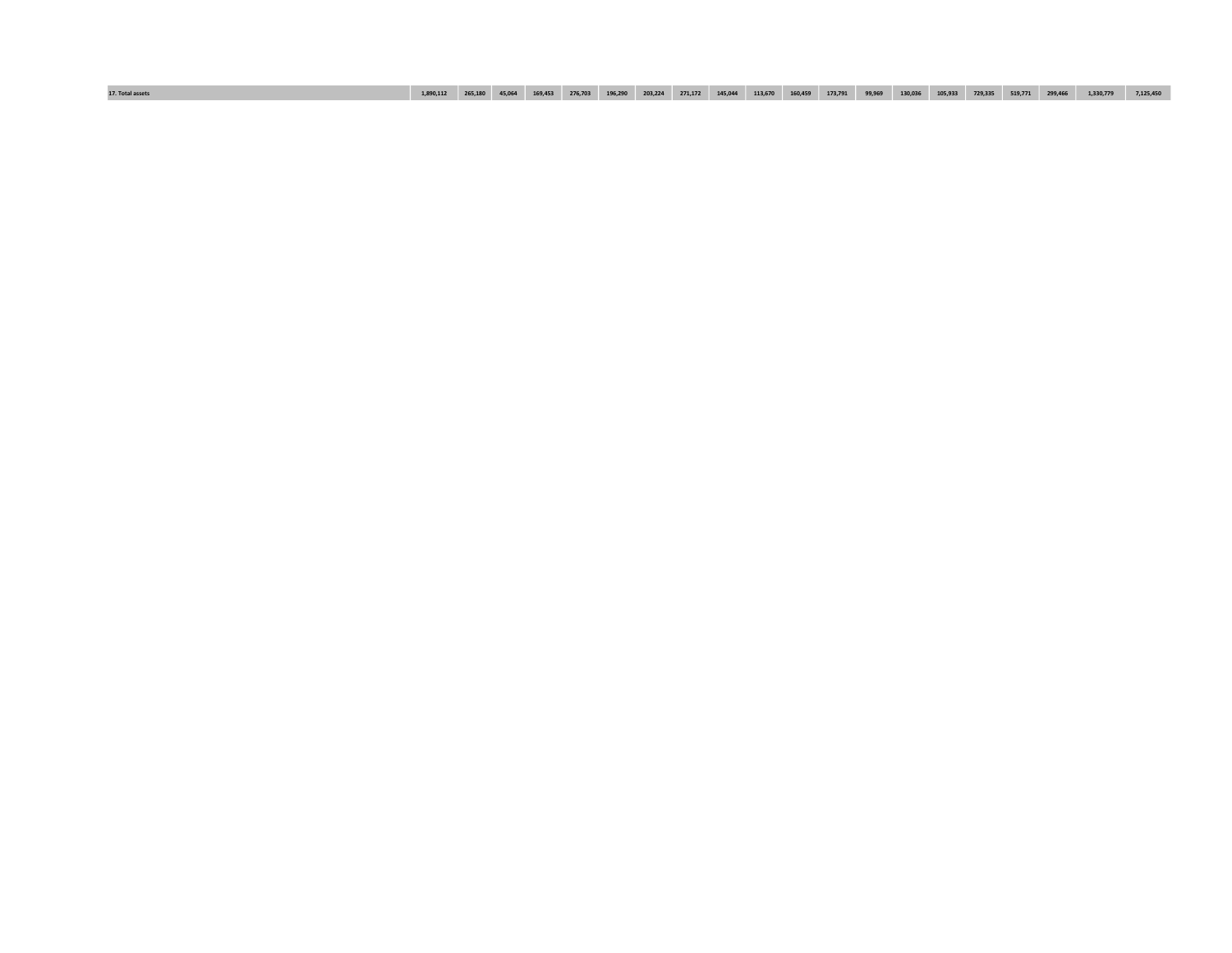| 130,036<br>1,330,779<br>729,335<br>17. Total assets<br>265,180<br>45,064<br>169,453<br>203.224<br>105,933<br>519,771<br>276,703<br>99,969<br>113,670<br>173,791<br>299,466<br>7,125,450<br>271,172<br>196.290<br>145,044<br>160,459<br>1.890.112 |
|--------------------------------------------------------------------------------------------------------------------------------------------------------------------------------------------------------------------------------------------------|
|--------------------------------------------------------------------------------------------------------------------------------------------------------------------------------------------------------------------------------------------------|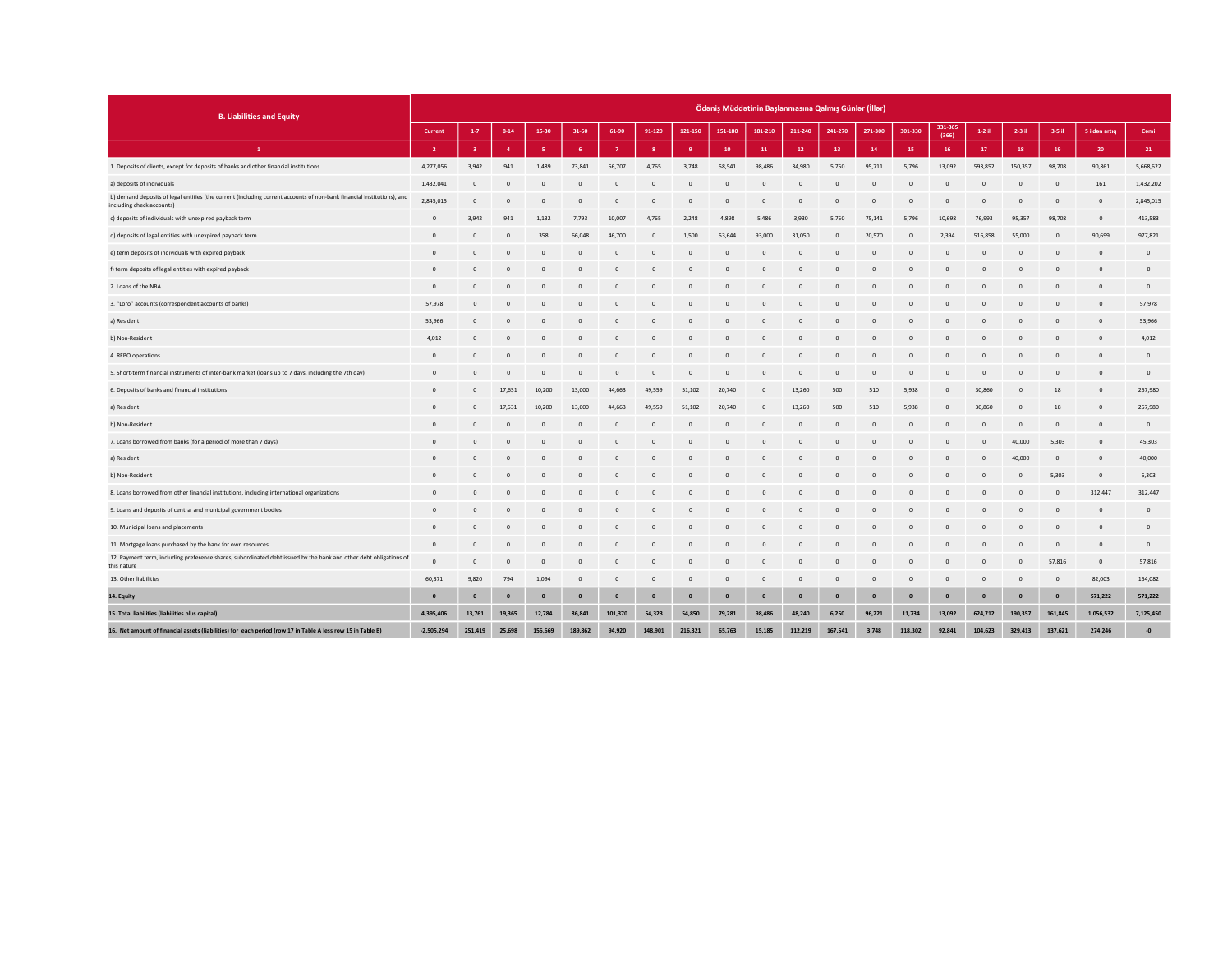| <b>B. Liabilities and Equity</b>                                                                                                                    |                |          |                |              |                |              |                           |              |                |                |            | Ödəniş Müddətinin Başlanmasına Qalmış Günlər (İllər) |                |                |                  |                |              |              |                 |                |
|-----------------------------------------------------------------------------------------------------------------------------------------------------|----------------|----------|----------------|--------------|----------------|--------------|---------------------------|--------------|----------------|----------------|------------|------------------------------------------------------|----------------|----------------|------------------|----------------|--------------|--------------|-----------------|----------------|
|                                                                                                                                                     | Current        | $1 - 7$  | $8 - 14$       | 15-30        | 31-60          | 61-90        | 91-120                    | 121-150      | 151-180        | 181-210        | 211-240    | 241-270                                              | 271-300        | 301-330        | 331-365<br>(366) | $1-2$ il       | 2-3 il       | $3-5$ il     | 5 ildən artıq   | Cami           |
| $\mathbf{1}$                                                                                                                                        | $\overline{2}$ |          | $\overline{a}$ | -5           | -6             |              | $\boldsymbol{\mathsf{R}}$ | $\mathbf{q}$ | 10             | ${\bf 11}$     | 12         | 13                                                   | 14             | 15             | 16               | 17             | 18           | 19           | 20 <sub>2</sub> | 21             |
| 1. Deposits of clients, except for deposits of banks and other financial institutions                                                               | 4,277,056      | 3,942    | 941            | 1,489        | 73,841         | 56,707       | 4,765                     | 3,748        | 58,541         | 98,486         | 34,980     | 5,750                                                | 95,711         | 5,796          | 13,092           | 593,852        | 150,357      | 98,708       | 90,861          | 5,668,622      |
| a) deposits of individuals                                                                                                                          | 1,432,041      | $\Omega$ | $\circ$        | $\circ$      | $\overline{0}$ | $\mathbf{0}$ | $\circ$                   | $\circ$      | $\mathbf{0}$   | $\overline{0}$ | $\Omega$   | $\mathbf{0}$                                         | $\mathbf{0}$   | $\overline{0}$ | $\mathbf{0}$     | $\overline{0}$ | $\Omega$     | $\mathbf{0}$ | 161             | 1,432,202      |
| b) demand deposits of legal entities (the current (including current accounts of non-bank financial institutions), and<br>including check accounts) | 2,845,015      | $\Omega$ | $\Omega$       | $\Omega$     | $\Omega$       | $\Omega$     | $\Omega$                  | $\Omega$     | $\Omega$       | $\Omega$       | $\sqrt{2}$ | $\Omega$                                             | $\Omega$       | $\Omega$       | $\Omega$         | $\Omega$       | $\sqrt{2}$   | $\Omega$     | $\mathbf{0}$    | 2,845,015      |
| c) deposits of individuals with unexpired payback term                                                                                              | $\circ$        | 3,942    | 941            | 1,132        | 7,793          | 10,007       | 4,765                     | 2,248        | 4,898          | 5,486          | 3,930      | 5,750                                                | 75,141         | 5,796          | 10,698           | 76,993         | 95,357       | 98,708       | $\circ$         | 413,583        |
| d) deposits of legal entities with unexpired payback term                                                                                           | $\circ$        | $\Omega$ | $\mathbf{0}$   | 358          | 66,048         | 46,700       | $\mathbf 0$               | 1,500        | 53,644         | 93,000         | 31,050     | $\overline{0}$                                       | 20,570         | $\Omega$       | 2,394            | 516,858        | 55,000       | $\mathbf{0}$ | 90,699          | 977,821        |
| e) term deposits of individuals with expired payback                                                                                                | $^{\circ}$     | $\Omega$ | $\mathbf{0}$   | $\Omega$     | $^{\circ}$     | $\Omega$     | $\mathbf{0}$              | $\circ$      | $\overline{0}$ | $^{\circ}$     | $\Omega$   | $\circ$                                              | $\overline{0}$ | $\mathbf{0}$   | $\circ$          | $^{\circ}$     | $\circ$      | $\mathbf{0}$ | $\circ$         | $\overline{0}$ |
| f) term deposits of legal entities with expired payback                                                                                             | $\Omega$       | $\Omega$ | $\Omega$       | $\Omega$     | $\Omega$       |              | $\Omega$                  | $\sqrt{2}$   | $\Omega$       | $\Omega$       |            |                                                      | $\Omega$       |                | $\Omega$         | $\Omega$       |              | $\Omega$     | $\mathbf{0}$    | $\Omega$       |
| 2. Loans of the NBA                                                                                                                                 | $\circ$        |          | $\Omega$       | $\mathbf{0}$ | $\mathbf{0}$   | $\Omega$     | $\mathbf{0}$              | $\Omega$     | $\Omega$       | $\overline{0}$ |            | $\circ$                                              | $\circ$        | $\sqrt{2}$     | $\mathbf{0}$     | $\circ$        | $\Omega$     | $\mathbf 0$  | $\mathbf{0}$    | $\circ$        |
| 3. "Loro" accounts (correspondent accounts of banks)                                                                                                | 57,978         | $\Omega$ | $\Omega$       | $\Omega$     | $\Omega$       |              | $\Omega$                  |              | $\Omega$       | $\Omega$       |            | $\Omega$                                             | $\Omega$       |                | $\Omega$         | $\sqrt{2}$     |              | $\Omega$     | $\overline{0}$  | 57,978         |
| a) Resident                                                                                                                                         | 53,966         | $\Omega$ | $\Omega$       | $\circ$      | $\mathbf{0}$   | $\Omega$     | $\circ$                   |              | $\Omega$       | $\overline{0}$ |            | $\Omega$                                             | $\Omega$       |                | $\Omega$         | $\circ$        | $\sqrt{2}$   |              | $\mathbf 0$     | 53,966         |
| b) Non-Resident                                                                                                                                     | 4.012          | $\Omega$ | $\Omega$       | $\Omega$     | $\Omega$       | $\Omega$     | $\Omega$                  | $\Omega$     | $\Omega$       | $\Omega$       |            | $\Omega$                                             | $\Omega$       | $\Omega$       | $\Omega$         | $\Omega$       |              | $\Omega$     | $\mathbf{0}$    | 4,012          |
| 4. REPO operations                                                                                                                                  | $\circ$        |          | $\circ$        | 0            | n              |              | $\circ$                   |              |                | $\sqrt{2}$     |            |                                                      | -C             |                |                  |                |              |              | $\mathbf{0}$    | $\Omega$       |
| 5. Short-term financial instruments of inter-bank market (loans up to 7 days, including the 7th day)                                                | $\Omega$       | $\Omega$ | $\Omega$       | $\Omega$     | $\Omega$       | $\Omega$     | $\Omega$                  | $\Omega$     | $\Omega$       | $\Omega$       | $\Omega$   | $\Omega$                                             | $\Omega$       | $\Omega$       | $\Omega$         | $\Omega$       | $\Omega$     | $\Omega$     | $\mathbf{0}$    | $\overline{0}$ |
| 6. Deposits of banks and financial institutions                                                                                                     | $\Omega$       | $\Omega$ | 17,631         | 10,200       | 13,000         | 44,663       | 49,559                    | 51,102       | 20,740         | $\overline{0}$ | 13,260     | 500                                                  | 510            | 5,938          | $\mathbf{0}$     | 30,860         | $\Omega$     | 18           | $\mathbf 0$     | 257,980        |
| a) Resident                                                                                                                                         | $\circ$        |          | 17,631         | 10,200       | 13,000         | 44,663       | 49,559                    | 51,102       | 20,740         | $\overline{0}$ | 13,260     | 500                                                  | 510            | 5,938          | $\mathbf{0}$     | 30,860         | $\mathbf{0}$ | 18           | $\mathbf 0$     | 257,980        |
| b) Non-Resident                                                                                                                                     | $\Omega$       |          | $\circ$        | $\mathbf{0}$ | $\overline{0}$ | $\Omega$     | $\mathbf{0}$              | $\Omega$     | $\overline{0}$ | $\overline{0}$ | $\Omega$   | $\circ$                                              | $\overline{0}$ | $\Omega$       | $\mathbf{0}$     | $\overline{0}$ | $\Omega$     | $\mathbf{0}$ | $\mathbf 0$     | $\overline{0}$ |
| 7. Loans borrowed from banks (for a period of more than 7 days)                                                                                     | $\circ$        | $\Omega$ | $\circ$        | $\mathbf{0}$ | $\circ$        | $\Omega$     | $\mathbf{0}$              | $\Omega$     | $\Omega$       | $\overline{0}$ |            | $\circ$                                              | $\circ$        |                | $\mathbf 0$      | $\Omega$       | 40,000       | 5,303        | $\circ$         | 45,303         |
| a) Resident                                                                                                                                         | $\Omega$       | $\Omega$ | $\Omega$       | $\Omega$     | $\Omega$       |              | $\Omega$                  | $\Omega$     | $\Omega$       | $\Omega$       |            | $\Omega$                                             | $\Omega$       | $\Omega$       | $\Omega$         | $\Omega$       | 40,000       | $\Omega$     | $\circ$         | 40,000         |
| b) Non-Resident                                                                                                                                     | $\mathbf{0}$   |          | $\circ$        | $\mathbf{0}$ | $\mathbf{0}$   | $\Omega$     | $\mathbf{0}$              | $\Omega$     | $\mathbf{0}$   | $\overline{0}$ |            | $\mathbf 0$                                          | $\circ$        | $\Omega$       | $\mathbf{0}$     | $\overline{0}$ | $\circ$      | 5,303        | $\circ$         | 5,303          |
| 8. Loans borrowed from other financial institutions, including international organizations                                                          | $\Omega$       |          | $\Omega$       | $\Omega$     | $\Omega$       |              | $\Omega$                  |              |                | $\Omega$       |            |                                                      | $\Omega$       |                |                  | c              |              | $\Omega$     | 312,447         | 312,447        |
| 9. Loans and deposits of central and municipal government bodies                                                                                    | $\circ$        | $\Omega$ | $\circ$        | $\mathbf{0}$ | $\mathbf{0}$   | $\mathbf{0}$ | $\mathbf 0$               | $\Omega$     | $\mathbf{0}$   | $\overline{0}$ |            | $\circ$                                              | $\circ$        | $\Omega$       | $\circ$          | $\Omega$       | $\Omega$     | $\mathbf{0}$ | $\mathbb O$     | $\circ$        |
| 10. Municipal loans and placements                                                                                                                  | $\circ$        | $\Omega$ | $\Omega$       | $\mathbf{0}$ | $\Omega$       | $\Omega$     | $\mathbf{0}$              | $\Omega$     | $\mathbf{0}$   | $\Omega$       |            | $\Omega$                                             | $\Omega$       | $\Omega$       | $\Omega$         | $\Omega$       | $\Omega$     | $\Omega$     | $\mathbf{0}$    | $\Omega$       |
| 11. Mortgage loans purchased by the bank for own resources                                                                                          | $\mathbf{0}$   |          | $\circ$        | 0            | $\circ$        |              | $\circ$                   |              |                | $\Omega$       |            |                                                      |                |                |                  |                |              | $\mathbf 0$  | $\overline{0}$  | $\overline{0}$ |
| 12. Payment term, including preference shares, subordinated debt issued by the bank and other debt obligations of<br>this nature                    | $\circ$        | $\Omega$ | $\circ$        | $\mathbf{0}$ | $\overline{0}$ | $\mathbf{0}$ | $\mathbf{0}$              | $\Omega$     | $\mathbf{0}$   | $\overline{0}$ | $\Omega$   | $\circ$                                              | $\overline{0}$ | $\Omega$       | $\mathbf{0}$     | $\overline{0}$ | $\Omega$     | 57,816       | $\circ$         | 57,816         |
| 13. Other liabilities                                                                                                                               | 60,371         | 9,820    | 794            | 1,094        | $\overline{0}$ | $\Omega$     | $\mathbf{0}$              | $\Omega$     | $\overline{0}$ | $\overline{0}$ | $\Omega$   | $\circ$                                              | $\overline{0}$ | $\Omega$       | $\mathbf{0}$     | $\overline{0}$ | $\Omega$     | $\mathbf{0}$ | 82,003          | 154,082        |
| 14. Equity                                                                                                                                          | $\mathbf{0}$   | $\Omega$ | $\mathbf{0}$   | $\mathbf{0}$ | $\mathbf{0}$   | $\mathbf{0}$ | $\mathbf{0}$              | $\mathbf{0}$ | $\mathbf{0}$   | $\mathbf{0}$   | $\Omega$   | $\mathbf{0}$                                         | $\mathbf{0}$   | $\mathbf{0}$   | $\mathbf{0}$     | $\mathbf{0}$   | $\mathbf{0}$ | $\mathbf{0}$ | 571,222         | 571,222        |
| 15. Total liabilities (liabilities plus capital)                                                                                                    | 4,395,406      | 13,761   | 19,365         | 12,784       | 86,841         | 101,370      | 54,323                    | 54,850       | 79,281         | 98,486         | 48,240     | 6,250                                                | 96,221         | 11,734         | 13,092           | 624,712        | 190,357      | 161,845      | 1,056,532       | 7,125,450      |
| 16. Net amount of financial assets (liabilities) for each period (row 17 in Table A less row 15 in Table B)                                         | $-2,505,294$   | 251,419  | 25,698         | 156.669      | 189,862        | 94,920       | 148,901                   | 216,321      | 65,763         | 15,185         | 112,219    | 167,541                                              | 3,748          | 118,302        | 92,841           | 104,623        | 329,413      | 137,621      | 274,246         | $-0$           |